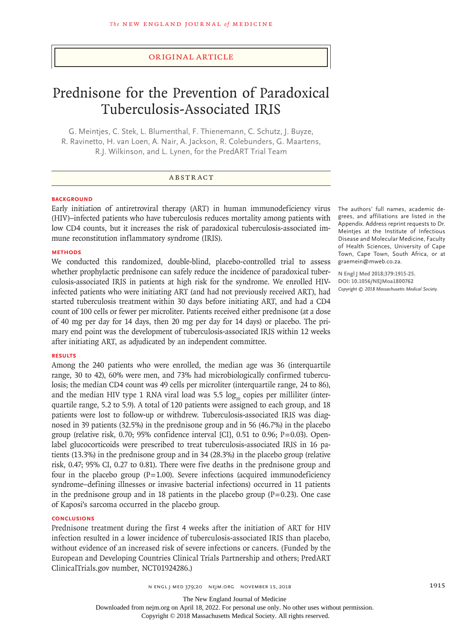## Original Article

# Prednisone for the Prevention of Paradoxical Tuberculosis-Associated IRIS

G. Meintjes, C. Stek, L. Blumenthal, F. Thienemann, C. Schutz, J. Buyze, R. Ravinetto, H. van Loen, A. Nair, A. Jackson, R. Colebunders, G. Maartens, R.J. Wilkinson, and L. Lynen, for the PredART Trial Team

#### ABSTRACT

#### **BACKGROUND**

Early initiation of antiretroviral therapy (ART) in human immunodeficiency virus (HIV)–infected patients who have tuberculosis reduces mortality among patients with low CD4 counts, but it increases the risk of paradoxical tuberculosis-associated immune reconstitution inflammatory syndrome (IRIS).

#### **METHODS**

We conducted this randomized, double-blind, placebo-controlled trial to assess whether prophylactic prednisone can safely reduce the incidence of paradoxical tuberculosis-associated IRIS in patients at high risk for the syndrome. We enrolled HIVinfected patients who were initiating ART (and had not previously received ART), had started tuberculosis treatment within 30 days before initiating ART, and had a CD4 count of 100 cells or fewer per microliter. Patients received either prednisone (at a dose of 40 mg per day for 14 days, then 20 mg per day for 14 days) or placebo. The primary end point was the development of tuberculosis-associated IRIS within 12 weeks after initiating ART, as adjudicated by an independent committee.

#### **RESULTS**

Among the 240 patients who were enrolled, the median age was 36 (interquartile range, 30 to 42), 60% were men, and 73% had microbiologically confirmed tuberculosis; the median CD4 count was 49 cells per microliter (interquartile range, 24 to 86), and the median HIV type 1 RNA viral load was 5.5  $log_{10}$  copies per milliliter (interquartile range, 5.2 to 5.9). A total of 120 patients were assigned to each group, and 18 patients were lost to follow-up or withdrew. Tuberculosis-associated IRIS was diagnosed in 39 patients (32.5%) in the prednisone group and in 56 (46.7%) in the placebo group (relative risk,  $0.70$ ; 95% confidence interval [CI],  $0.51$  to  $0.96$ ; P=0.03). Openlabel glucocorticoids were prescribed to treat tuberculosis-associated IRIS in 16 patients (13.3%) in the prednisone group and in 34 (28.3%) in the placebo group (relative risk, 0.47; 95% CI, 0.27 to 0.81). There were five deaths in the prednisone group and four in the placebo group  $(P=1.00)$ . Severe infections (acquired immunodeficiency syndrome–defining illnesses or invasive bacterial infections) occurred in 11 patients in the prednisone group and in 18 patients in the placebo group  $(P=0.23)$ . One case of Kaposi's sarcoma occurred in the placebo group.

#### **CONCLUSIONS**

Prednisone treatment during the first 4 weeks after the initiation of ART for HIV infection resulted in a lower incidence of tuberculosis-associated IRIS than placebo, without evidence of an increased risk of severe infections or cancers. (Funded by the European and Developing Countries Clinical Trials Partnership and others; PredART ClinicalTrials.gov number, NCT01924286.)

The authors' full names, academic degrees, and affiliations are listed in the Appendix. Address reprint requests to Dr. Meintjes at the Institute of Infectious Disease and Molecular Medicine, Faculty of Health Sciences, University of Cape Town, Cape Town, South Africa, or at graemein@mweb.co.za.

**N Engl J Med 2018;379:1915-25. DOI: 10.1056/NEJMoa1800762** *Copyright © 2018 Massachusetts Medical Society.*

The New England Journal of Medicine

Downloaded from nejm.org on April 18, 2022. For personal use only. No other uses without permission.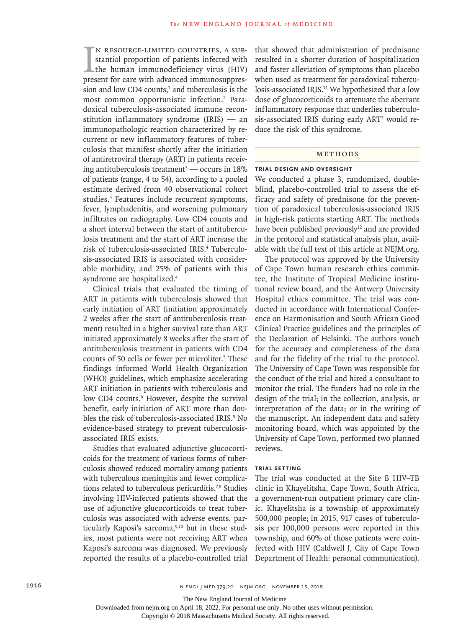I<br>pres n resource-limited countries, a substantial proportion of patients infected with the human immunodeficiency virus (HIV) present for care with advanced immunosuppression and low CD4 counts, $<sup>1</sup>$  and tuberculosis is the</sup> most common opportunistic infection.<sup>2</sup> Paradoxical tuberculosis-associated immune reconstitution inflammatory syndrome (IRIS) — an immunopathologic reaction characterized by recurrent or new inflammatory features of tuberculosis that manifest shortly after the initiation of antiretroviral therapy (ART) in patients receiving antituberculosis treatment3 — occurs in 18% of patients (range, 4 to 54), according to a pooled estimate derived from 40 observational cohort studies.4 Features include recurrent symptoms, fever, lymphadenitis, and worsening pulmonary infiltrates on radiography. Low CD4 counts and a short interval between the start of antituberculosis treatment and the start of ART increase the risk of tuberculosis-associated IRIS.<sup>4</sup> Tuberculosis-associated IRIS is associated with considerable morbidity, and 25% of patients with this syndrome are hospitalized.4

Clinical trials that evaluated the timing of ART in patients with tuberculosis showed that early initiation of ART (initiation approximately 2 weeks after the start of antituberculosis treatment) resulted in a higher survival rate than ART initiated approximately 8 weeks after the start of antituberculosis treatment in patients with CD4 counts of 50 cells or fewer per microliter.<sup>5</sup> These findings informed World Health Organization (WHO) guidelines, which emphasize accelerating ART initiation in patients with tuberculosis and low CD4 counts.<sup>6</sup> However, despite the survival benefit, early initiation of ART more than doubles the risk of tuberculosis-associated IRIS.<sup>5</sup> No evidence-based strategy to prevent tuberculosisassociated IRIS exists.

Studies that evaluated adjunctive glucocorticoids for the treatment of various forms of tuberculosis showed reduced mortality among patients with tuberculous meningitis and fewer complications related to tuberculous pericarditis.<sup>7,8</sup> Studies involving HIV-infected patients showed that the use of adjunctive glucocorticoids to treat tuberculosis was associated with adverse events, particularly Kaposi's sarcoma,<sup>9,10</sup> but in these studies, most patients were not receiving ART when Kaposi's sarcoma was diagnosed. We previously reported the results of a placebo-controlled trial that showed that administration of prednisone resulted in a shorter duration of hospitalization and faster alleviation of symptoms than placebo when used as treatment for paradoxical tuberculosis-associated IRIS.<sup>11</sup> We hypothesized that a low dose of glucocorticoids to attenuate the aberrant inflammatory response that underlies tuberculosis-associated IRIS during early ART<sup>3</sup> would reduce the risk of this syndrome.

## Methods

#### **Trial Design and Oversight**

We conducted a phase 3, randomized, doubleblind, placebo-controlled trial to assess the efficacy and safety of prednisone for the prevention of paradoxical tuberculosis-associated IRIS in high-risk patients starting ART. The methods have been published previously<sup>12</sup> and are provided in the protocol and statistical analysis plan, available with the full text of this article at NEJM.org.

The protocol was approved by the University of Cape Town human research ethics committee, the Institute of Tropical Medicine institutional review board, and the Antwerp University Hospital ethics committee. The trial was conducted in accordance with International Conference on Harmonisation and South African Good Clinical Practice guidelines and the principles of the Declaration of Helsinki. The authors vouch for the accuracy and completeness of the data and for the fidelity of the trial to the protocol. The University of Cape Town was responsible for the conduct of the trial and hired a consultant to monitor the trial. The funders had no role in the design of the trial; in the collection, analysis, or interpretation of the data; or in the writing of the manuscript. An independent data and safety monitoring board, which was appointed by the University of Cape Town, performed two planned reviews.

# **Trial Setting**

The trial was conducted at the Site B HIV–TB clinic in Khayelitsha, Cape Town, South Africa, a government-run outpatient primary care clinic. Khayelitsha is a township of approximately 500,000 people; in 2015, 917 cases of tuberculosis per 100,000 persons were reported in this township, and 60% of those patients were coinfected with HIV (Caldwell J, City of Cape Town Department of Health: personal communication).

The New England Journal of Medicine

Downloaded from nejm.org on April 18, 2022. For personal use only. No other uses without permission.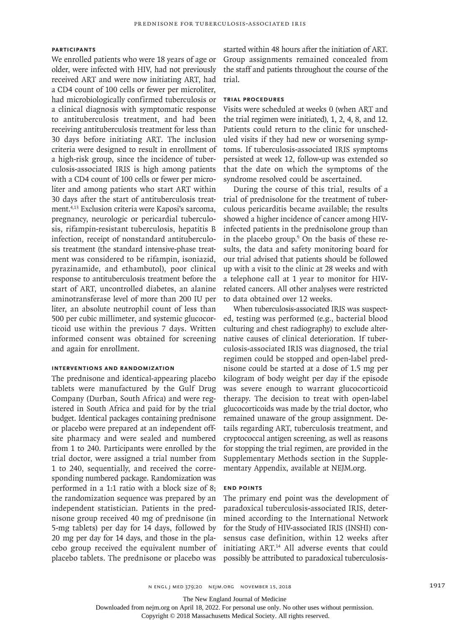# **Participants**

We enrolled patients who were 18 years of age or older, were infected with HIV, had not previously received ART and were now initiating ART, had a CD4 count of 100 cells or fewer per microliter, had microbiologically confirmed tuberculosis or a clinical diagnosis with symptomatic response to antituberculosis treatment, and had been receiving antituberculosis treatment for less than 30 days before initiating ART. The inclusion criteria were designed to result in enrollment of a high-risk group, since the incidence of tuberculosis-associated IRIS is high among patients with a CD4 count of 100 cells or fewer per microliter and among patients who start ART within 30 days after the start of antituberculosis treatment.4,13 Exclusion criteria were Kaposi's sarcoma, pregnancy, neurologic or pericardial tuberculosis, rifampin-resistant tuberculosis, hepatitis B infection, receipt of nonstandard antituberculosis treatment (the standard intensive-phase treatment was considered to be rifampin, isoniazid, pyrazinamide, and ethambutol), poor clinical response to antituberculosis treatment before the start of ART, uncontrolled diabetes, an alanine aminotransferase level of more than 200 IU per liter, an absolute neutrophil count of less than 500 per cubic millimeter, and systemic glucocorticoid use within the previous 7 days. Written informed consent was obtained for screening and again for enrollment.

#### **Interventions and Randomization**

The prednisone and identical-appearing placebo tablets were manufactured by the Gulf Drug Company (Durban, South Africa) and were registered in South Africa and paid for by the trial budget. Identical packages containing prednisone or placebo were prepared at an independent offsite pharmacy and were sealed and numbered from 1 to 240. Participants were enrolled by the trial doctor, were assigned a trial number from 1 to 240, sequentially, and received the corresponding numbered package. Randomization was performed in a 1:1 ratio with a block size of 8; the randomization sequence was prepared by an independent statistician. Patients in the prednisone group received 40 mg of prednisone (in 5-mg tablets) per day for 14 days, followed by 20 mg per day for 14 days, and those in the placebo group received the equivalent number of placebo tablets. The prednisone or placebo was

started within 48 hours after the initiation of ART. Group assignments remained concealed from the staff and patients throughout the course of the trial.

## **Trial Procedures**

Visits were scheduled at weeks 0 (when ART and the trial regimen were initiated), 1, 2, 4, 8, and 12. Patients could return to the clinic for unscheduled visits if they had new or worsening symptoms. If tuberculosis-associated IRIS symptoms persisted at week 12, follow-up was extended so that the date on which the symptoms of the syndrome resolved could be ascertained.

During the course of this trial, results of a trial of prednisolone for the treatment of tuberculous pericarditis became available; the results showed a higher incidence of cancer among HIVinfected patients in the prednisolone group than in the placebo group.<sup>9</sup> On the basis of these results, the data and safety monitoring board for our trial advised that patients should be followed up with a visit to the clinic at 28 weeks and with a telephone call at 1 year to monitor for HIVrelated cancers. All other analyses were restricted to data obtained over 12 weeks.

When tuberculosis-associated IRIS was suspected, testing was performed (e.g., bacterial blood culturing and chest radiography) to exclude alternative causes of clinical deterioration. If tuberculosis-associated IRIS was diagnosed, the trial regimen could be stopped and open-label prednisone could be started at a dose of 1.5 mg per kilogram of body weight per day if the episode was severe enough to warrant glucocorticoid therapy. The decision to treat with open-label glucocorticoids was made by the trial doctor, who remained unaware of the group assignment. Details regarding ART, tuberculosis treatment, and cryptococcal antigen screening, as well as reasons for stopping the trial regimen, are provided in the Supplementary Methods section in the Supplementary Appendix, available at NEJM.org.

## **End Points**

The primary end point was the development of paradoxical tuberculosis-associated IRIS, determined according to the International Network for the Study of HIV-associated IRIS (INSHI) consensus case definition, within 12 weeks after initiating ART.<sup>14</sup> All adverse events that could possibly be attributed to paradoxical tuberculosis-

The New England Journal of Medicine

Downloaded from nejm.org on April 18, 2022. For personal use only. No other uses without permission.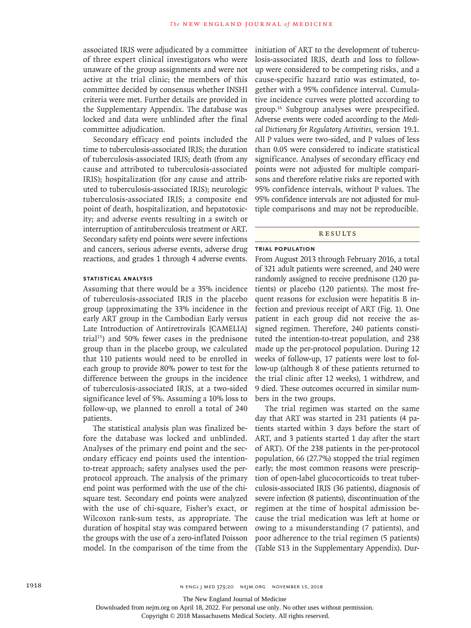associated IRIS were adjudicated by a committee of three expert clinical investigators who were unaware of the group assignments and were not active at the trial clinic; the members of this committee decided by consensus whether INSHI criteria were met. Further details are provided in the Supplementary Appendix. The database was locked and data were unblinded after the final committee adjudication.

Secondary efficacy end points included the time to tuberculosis-associated IRIS; the duration of tuberculosis-associated IRIS; death (from any cause and attributed to tuberculosis-associated IRIS); hospitalization (for any cause and attributed to tuberculosis-associated IRIS); neurologic tuberculosis-associated IRIS; a composite end point of death, hospitalization, and hepatotoxicity; and adverse events resulting in a switch or interruption of antituberculosis treatment or ART. Secondary safety end points were severe infections and cancers, serious adverse events, adverse drug reactions, and grades 1 through 4 adverse events.

## **Statistical Analysis**

Assuming that there would be a 35% incidence of tuberculosis-associated IRIS in the placebo group (approximating the 33% incidence in the early ART group in the Cambodian Early versus Late Introduction of Antiretrovirals [CAMELIA] trial $15$ ) and 50% fewer cases in the prednisone group than in the placebo group, we calculated that 110 patients would need to be enrolled in each group to provide 80% power to test for the difference between the groups in the incidence of tuberculosis-associated IRIS, at a two-sided significance level of 5%. Assuming a 10% loss to follow-up, we planned to enroll a total of 240 patients.

The statistical analysis plan was finalized before the database was locked and unblinded. Analyses of the primary end point and the secondary efficacy end points used the intentionto-treat approach; safety analyses used the perprotocol approach. The analysis of the primary end point was performed with the use of the chisquare test. Secondary end points were analyzed with the use of chi-square, Fisher's exact, or Wilcoxon rank-sum tests, as appropriate. The duration of hospital stay was compared between the groups with the use of a zero-inflated Poisson model. In the comparison of the time from the initiation of ART to the development of tuberculosis-associated IRIS, death and loss to followup were considered to be competing risks, and a cause-specific hazard ratio was estimated, together with a 95% confidence interval. Cumulative incidence curves were plotted according to group.16 Subgroup analyses were prespecified. Adverse events were coded according to the *Medical Dictionary for Regulatory Activities*, version 19.1. All P values were two-sided, and P values of less than 0.05 were considered to indicate statistical significance. Analyses of secondary efficacy end points were not adjusted for multiple comparisons and therefore relative risks are reported with 95% confidence intervals, without P values. The 95% confidence intervals are not adjusted for multiple comparisons and may not be reproducible.

## Results

#### **Trial Population**

From August 2013 through February 2016, a total of 321 adult patients were screened, and 240 were randomly assigned to receive prednisone (120 patients) or placebo (120 patients). The most frequent reasons for exclusion were hepatitis B infection and previous receipt of ART (Fig. 1). One patient in each group did not receive the assigned regimen. Therefore, 240 patients constituted the intention-to-treat population, and 238 made up the per-protocol population. During 12 weeks of follow-up, 17 patients were lost to follow-up (although 8 of these patients returned to the trial clinic after 12 weeks), 1 withdrew, and 9 died. These outcomes occurred in similar numbers in the two groups.

The trial regimen was started on the same day that ART was started in 231 patients (4 patients started within 3 days before the start of ART, and 3 patients started 1 day after the start of ART). Of the 238 patients in the per-protocol population, 66 (27.7%) stopped the trial regimen early; the most common reasons were prescription of open-label glucocorticoids to treat tuberculosis-associated IRIS (36 patients), diagnosis of severe infection (8 patients), discontinuation of the regimen at the time of hospital admission because the trial medication was left at home or owing to a misunderstanding (7 patients), and poor adherence to the trial regimen (5 patients) (Table S13 in the Supplementary Appendix). Dur-

The New England Journal of Medicine

Downloaded from nejm.org on April 18, 2022. For personal use only. No other uses without permission.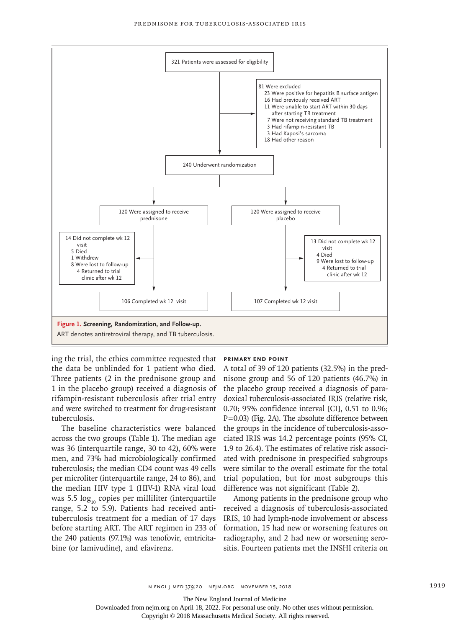

ing the trial, the ethics committee requested that the data be unblinded for 1 patient who died. Three patients (2 in the prednisone group and 1 in the placebo group) received a diagnosis of rifampin-resistant tuberculosis after trial entry and were switched to treatment for drug-resistant tuberculosis.

The baseline characteristics were balanced across the two groups (Table 1). The median age was 36 (interquartile range, 30 to 42), 60% were men, and 73% had microbiologically confirmed tuberculosis; the median CD4 count was 49 cells per microliter (interquartile range, 24 to 86), and the median HIV type 1 (HIV-1) RNA viral load was 5.5  $log<sub>10</sub>$  copies per milliliter (interquartile range, 5.2 to 5.9). Patients had received antituberculosis treatment for a median of 17 days before starting ART. The ART regimen in 233 of the 240 patients (97.1%) was tenofovir, emtricitabine (or lamivudine), and efavirenz.

#### **Primary End Point**

A total of 39 of 120 patients (32.5%) in the prednisone group and 56 of 120 patients (46.7%) in the placebo group received a diagnosis of paradoxical tuberculosis-associated IRIS (relative risk, 0.70; 95% confidence interval [CI], 0.51 to 0.96; P=0.03) (Fig. 2A). The absolute difference between the groups in the incidence of tuberculosis-associated IRIS was 14.2 percentage points (95% CI, 1.9 to 26.4). The estimates of relative risk associated with prednisone in prespecified subgroups were similar to the overall estimate for the total trial population, but for most subgroups this difference was not significant (Table 2).

Among patients in the prednisone group who received a diagnosis of tuberculosis-associated IRIS, 10 had lymph-node involvement or abscess formation, 15 had new or worsening features on radiography, and 2 had new or worsening serositis. Fourteen patients met the INSHI criteria on

The New England Journal of Medicine

Downloaded from nejm.org on April 18, 2022. For personal use only. No other uses without permission.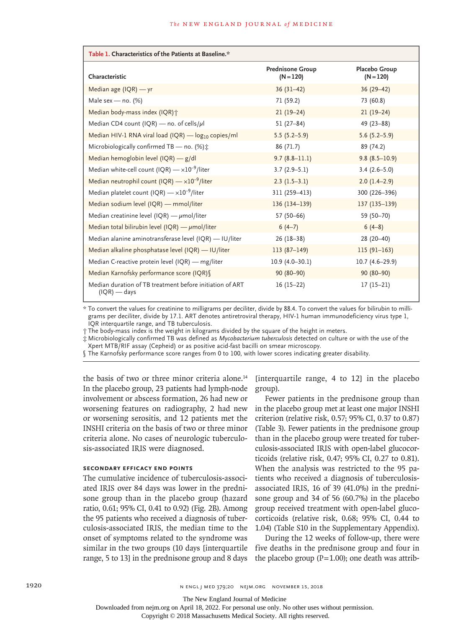| Table 1. Characteristics of the Patients at Baseline.*                     |                                        |                                     |  |  |  |  |
|----------------------------------------------------------------------------|----------------------------------------|-------------------------------------|--|--|--|--|
| Characteristic                                                             | <b>Prednisone Group</b><br>$(N = 120)$ | <b>Placebo Group</b><br>$(N = 120)$ |  |  |  |  |
| Median age $(IQR)$ - yr                                                    | $36(31-42)$                            | $36(29-42)$                         |  |  |  |  |
| Male sex - no. $(%)$                                                       | 71 (59.2)                              | 73 (60.8)                           |  |  |  |  |
| Median body-mass index (IQR) +                                             | $21(19-24)$                            | $21(19-24)$                         |  |  |  |  |
| Median CD4 count (IQR) — no. of cells/ $\mu$ l                             | $51(27-84)$                            | $49(23 - 88)$                       |  |  |  |  |
| Median HIV-1 RNA viral load (IQR) — $log_{10}$ copies/ml                   | $5.5(5.2-5.9)$                         | $5.6(5.2 - 5.9)$                    |  |  |  |  |
| Microbiologically confirmed TB - no. (%) $\ddagger$                        | 86 (71.7)                              | 89 (74.2)                           |  |  |  |  |
| Median hemoglobin level $(IQR)$ - $g/dI$                                   | $9.7(8.8-11.1)$                        | $9.8(8.5-10.9)$                     |  |  |  |  |
| Median white-cell count (IQR) $- \times 10^{-9}$ /liter                    | $3.7(2.9-5.1)$                         | $3.4(2.6-5.0)$                      |  |  |  |  |
| Median neutrophil count (IQR) $- \times 10^{-9}$ /liter                    | $2.3(1.5-3.1)$                         | $2.0(1.4-2.9)$                      |  |  |  |  |
| Median platelet count (IQR) $- \times 10^{-9}$ /liter                      | 311 (259-413)                          | 300 (226-396)                       |  |  |  |  |
| Median sodium level (IQR) - mmol/liter                                     | 136 (134-139)                          | 137 (135-139)                       |  |  |  |  |
| Median creatinine level (IQR) $-\mu$ mol/liter                             | 57 (50-66)                             | 59 (50-70)                          |  |  |  |  |
| Median total bilirubin level (IQR) $-\mu$ mol/liter                        | $6(4-7)$                               | $6(4-8)$                            |  |  |  |  |
| Median alanine aminotransferase level (IQR) — IU/liter                     | $26(18-38)$                            | 28 (20-40)                          |  |  |  |  |
| Median alkaline phosphatase level (IQR) - IU/liter                         | $113(87-149)$                          | $115(91-163)$                       |  |  |  |  |
| Median C-reactive protein level (IQR) — mg/liter                           | $10.9(4.0-30.1)$                       | $10.7(4.6-29.9)$                    |  |  |  |  |
| Median Karnofsky performance score (IQR) [                                 | 90 (80-90)                             | $90(80-90)$                         |  |  |  |  |
| Median duration of TB treatment before initiation of ART<br>$(IQR)$ — days | $16(15-22)$                            | $17(15-21)$                         |  |  |  |  |

\* To convert the values for creatinine to milligrams per deciliter, divide by 88.4. To convert the values for bilirubin to milligrams per deciliter, divide by 17.1. ART denotes antiretroviral therapy, HIV-1 human immunodeficiency virus type 1, IQR interquartile range, and TB tuberculosis.

† The body-mass index is the weight in kilograms divided by the square of the height in meters.

‡ Microbiologically confirmed TB was defined as *Mycobacterium tuberculosis* detected on culture or with the use of the Xpert MTB/RIF assay (Cepheid) or as positive acid-fast bacilli on smear microscopy.

§ The Karnofsky performance score ranges from 0 to 100, with lower scores indicating greater disability.

the basis of two or three minor criteria alone.14 In the placebo group, 23 patients had lymph-node involvement or abscess formation, 26 had new or worsening features on radiography, 2 had new or worsening serositis, and 12 patients met the INSHI criteria on the basis of two or three minor criteria alone. No cases of neurologic tuberculosis-associated IRIS were diagnosed.

## **Secondary Efficacy End Points**

The cumulative incidence of tuberculosis-associated IRIS over 84 days was lower in the prednisone group than in the placebo group (hazard ratio, 0.61; 95% CI, 0.41 to 0.92) (Fig. 2B). Among the 95 patients who received a diagnosis of tuberculosis-associated IRIS, the median time to the onset of symptoms related to the syndrome was similar in the two groups (10 days [interquartile range, 5 to 13] in the prednisone group and 8 days

[interquartile range, 4 to 12] in the placebo group).

Fewer patients in the prednisone group than in the placebo group met at least one major INSHI criterion (relative risk, 0.57; 95% CI, 0.37 to 0.87) (Table 3). Fewer patients in the prednisone group than in the placebo group were treated for tuberculosis-associated IRIS with open-label glucocorticoids (relative risk, 0.47; 95% CI, 0.27 to 0.81). When the analysis was restricted to the 95 patients who received a diagnosis of tuberculosisassociated IRIS, 16 of 39 (41.0%) in the prednisone group and 34 of 56 (60.7%) in the placebo group received treatment with open-label glucocorticoids (relative risk, 0.68; 95% CI, 0.44 to 1.04) (Table S10 in the Supplementary Appendix).

During the 12 weeks of follow-up, there were five deaths in the prednisone group and four in the placebo group ( $P=1.00$ ); one death was attrib-

The New England Journal of Medicine

Downloaded from nejm.org on April 18, 2022. For personal use only. No other uses without permission.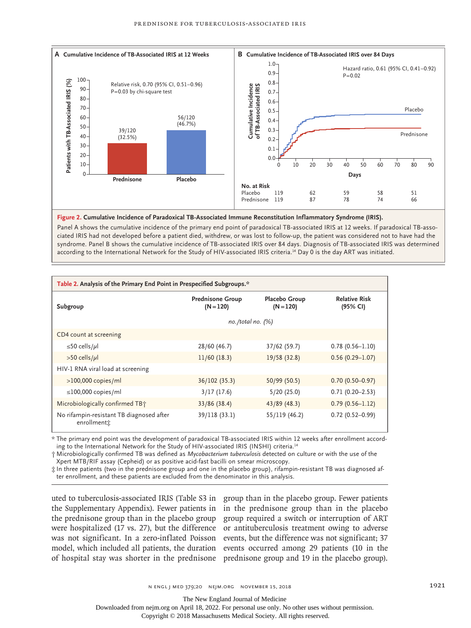

#### **Figure 2. Cumulative Incidence of Paradoxical TB-Associated Immune Reconstitution Inflammatory Syndrome (IRIS).**

Panel A shows the cumulative incidence of the primary end point of paradoxical TB-associated IRIS at 12 weeks. If paradoxical TB-associated IRIS had not developed before a patient died, withdrew, or was lost to follow-up, the patient was considered not to have had the syndrome. Panel B shows the cumulative incidence of TB-associated IRIS over 84 days. Diagnosis of TB-associated IRIS was determined

| Table 2. Analysis of the Primary End Point in Prespecified Subgroups.* |                                        |                              |                                  |  |  |  |
|------------------------------------------------------------------------|----------------------------------------|------------------------------|----------------------------------|--|--|--|
| Subgroup                                                               | <b>Prednisone Group</b><br>$(N = 120)$ | Placebo Group<br>$(N = 120)$ | <b>Relative Risk</b><br>(95% CI) |  |  |  |
|                                                                        | $no. /total no.$ (%)                   |                              |                                  |  |  |  |
| CD4 count at screening                                                 |                                        |                              |                                  |  |  |  |
| ≤50 cells/µl                                                           | 28/60 (46.7)                           | 37/62 (59.7)                 | $0.78(0.56 - 1.10)$              |  |  |  |
| $>50$ cells/µl                                                         | 11/60(18.3)                            | 19/58 (32.8)                 | $0.56(0.29 - 1.07)$              |  |  |  |
| HIV-1 RNA viral load at screening                                      |                                        |                              |                                  |  |  |  |
| $>100,000$ copies/ml                                                   | 36/102 (35.3)                          | 50/99 (50.5)                 | $0.70(0.50 - 0.97)$              |  |  |  |
| $\leq$ 100,000 copies/ml                                               | 3/17(17.6)                             | 5/20(25.0)                   | $0.71(0.20 - 2.53)$              |  |  |  |
| Microbiologically confirmed TB+                                        | 33/86 (38.4)                           | 43/89 (48.3)                 | $0.79(0.56 - 1.12)$              |  |  |  |
| No rifampin-resistant TB diagnosed after<br>enrollment*                | 39/118 (33.1)                          | 55/119 (46.2)                | $0.72(0.52 - 0.99)$              |  |  |  |

\* The primary end point was the development of paradoxical TB-associated IRIS within 12 weeks after enrollment according to the International Network for the Study of HIV-associated IRIS (INSHI) criteria.<sup>14</sup>

† Microbiologically confirmed TB was defined as *Mycobacterium tuberculosis* detected on culture or with the use of the Xpert MTB/RIF assay (Cepheid) or as positive acid-fast bacilli on smear microscopy.

‡ In three patients (two in the prednisone group and one in the placebo group), rifampin-resistant TB was diagnosed after enrollment, and these patients are excluded from the denominator in this analysis.

uted to tuberculosis-associated IRIS (Table S3 in group than in the placebo group. Fewer patients the Supplementary Appendix). Fewer patients in in the prednisone group than in the placebo the prednisone group than in the placebo group group required a switch or interruption of ART were hospitalized (17 vs. 27), but the difference or antituberculosis treatment owing to adverse was not significant. In a zero-inflated Poisson events, but the difference was not significant; 37 model, which included all patients, the duration events occurred among 29 patients (10 in the of hospital stay was shorter in the prednisone prednisone group and 19 in the placebo group).

The New England Journal of Medicine

Downloaded from nejm.org on April 18, 2022. For personal use only. No other uses without permission.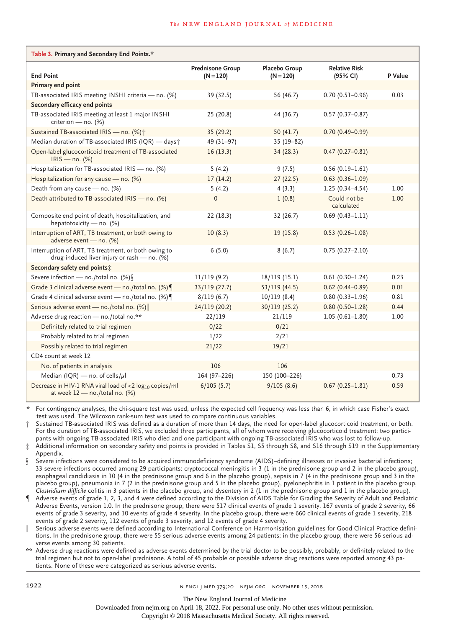| Table 3. Primary and Secondary End Points.*                                                          |                                        |                              |                                  |         |  |  |  |
|------------------------------------------------------------------------------------------------------|----------------------------------------|------------------------------|----------------------------------|---------|--|--|--|
| <b>End Point</b>                                                                                     | <b>Prednisone Group</b><br>$(N = 120)$ | Placebo Group<br>$(N = 120)$ | <b>Relative Risk</b><br>(95% CI) | P Value |  |  |  |
| Primary end point                                                                                    |                                        |                              |                                  |         |  |  |  |
| TB-associated IRIS meeting INSHI criteria - no. (%)                                                  | 39 (32.5)                              | 56 (46.7)                    | $0.70(0.51 - 0.96)$              | 0.03    |  |  |  |
| Secondary efficacy end points                                                                        |                                        |                              |                                  |         |  |  |  |
| TB-associated IRIS meeting at least 1 major INSHI<br>criterion - no. (%)                             | 25(20.8)                               | 44 (36.7)                    | $0.57(0.37 - 0.87)$              |         |  |  |  |
| Sustained TB-associated IRIS - no. (%) <sup>+</sup>                                                  | 35(29.2)                               | 50 $(41.7)$                  | $0.70(0.49 - 0.99)$              |         |  |  |  |
| Median duration of TB-associated IRIS (IQR) - days;                                                  | 49 (31-97)                             | $35(19-82)$                  |                                  |         |  |  |  |
| Open-label glucocorticoid treatment of TB-associated<br>$IRIS - no.$ (%)                             | 16(13.3)                               | 34(28.3)                     | $0.47(0.27 - 0.81)$              |         |  |  |  |
| Hospitalization for TB-associated IRIS - no. (%)                                                     | 5(4.2)                                 | 9(7.5)                       | $0.56(0.19-1.61)$                |         |  |  |  |
| Hospitalization for any cause - no. (%)                                                              | 17(14.2)                               | 27(22.5)                     | $0.63(0.36 - 1.09)$              |         |  |  |  |
| Death from any cause - no. (%)                                                                       | 5(4.2)                                 | 4(3.3)                       | $1.25(0.34 - 4.54)$              | 1.00    |  |  |  |
| Death attributed to TB-associated IRIS - no. (%)                                                     | $\mathbf{0}$                           | 1(0.8)                       | Could not be<br>calculated       | 1.00    |  |  |  |
| Composite end point of death, hospitalization, and<br>hepatotoxicity - no. (%)                       | 22(18.3)                               | 32 (26.7)                    | $0.69(0.43 - 1.11)$              |         |  |  |  |
| Interruption of ART, TB treatment, or both owing to<br>adverse event - no. (%)                       | 10(8.3)                                | 19(15.8)                     | $0.53(0.26 - 1.08)$              |         |  |  |  |
| Interruption of ART, TB treatment, or both owing to<br>drug-induced liver injury or rash - no. (%)   | 6(5.0)                                 | 8(6.7)                       | $0.75(0.27 - 2.10)$              |         |  |  |  |
| Secondary safety end points:                                                                         |                                        |                              |                                  |         |  |  |  |
| Severe infection - no./total no. (%) \                                                               | 11/119(9.2)                            | 18/119 (15.1)                | $0.61(0.30 - 1.24)$              | 0.23    |  |  |  |
| Grade 3 clinical adverse event - no./total no. (%)                                                   | 33/119 (27.7)                          | 53/119(44.5)                 | $0.62$ (0.44-0.89)               | 0.01    |  |  |  |
| Grade 4 clinical adverse event - no./total no. (%)                                                   | 8/119(6.7)                             | 10/119(8.4)                  | $0.80(0.33 - 1.96)$              | 0.81    |  |  |  |
| Serious adverse event - no./total no. (%)                                                            | 24/119 (20.2)                          | 30/119 (25.2)                | $0.80(0.50 - 1.28)$              | 0.44    |  |  |  |
| Adverse drug reaction - no./total no.**                                                              | 22/119                                 | 21/119                       | $1.05(0.61 - 1.80)$              | 1.00    |  |  |  |
| Definitely related to trial regimen                                                                  | 0/22                                   | 0/21                         |                                  |         |  |  |  |
| Probably related to trial regimen                                                                    | 1/22                                   | 2/21                         |                                  |         |  |  |  |
| Possibly related to trial regimen                                                                    | 21/22                                  | 19/21                        |                                  |         |  |  |  |
| CD4 count at week 12                                                                                 |                                        |                              |                                  |         |  |  |  |
| No. of patients in analysis                                                                          | 106                                    | 106                          |                                  |         |  |  |  |
| Median (IQR) — no. of cells/ $\mu$ l                                                                 | 164 (97-226)                           | 150 (100-226)                |                                  | 0.73    |  |  |  |
| Decrease in HIV-1 RNA viral load of <2 log <sub>10</sub> copies/ml<br>at week 12 - no./total no. (%) | 6/105(5.7)                             | 9/105(8.6)                   | $0.67(0.25 - 1.81)$              | 0.59    |  |  |  |

For contingency analyses, the chi-square test was used, unless the expected cell frequency was less than 6, in which case Fisher's exact test was used. The Wilcoxon rank-sum test was used to compare continuous variables.

Sustained TB-associated IRIS was defined as a duration of more than 14 days, the need for open-label glucocorticoid treatment, or both. For the duration of TB-associated IRIS, we excluded three participants, all of whom were receiving glucocorticoid treatment: two participants with ongoing TB-associated IRIS who died and one participant with ongoing TB-associated IRIS who was lost to follow-up.

Additional information on secondary safety end points is provided in Tables S1, S5 through S8, and S16 through S19 in the Supplementary Appendix.

Severe infections were considered to be acquired immunodeficiency syndrome (AIDS)-defining illnesses or invasive bacterial infections; 33 severe infections occurred among 29 participants: cryptococcal meningitis in 3 (1 in the prednisone group and 2 in the placebo group), esophageal candidiasis in 10 (4 in the prednisone group and 6 in the placebo group), sepsis in 7 (4 in the prednisone group and 3 in the placebo group), pneumonia in 7 (2 in the prednisone group and 5 in the placebo group), pyelonephritis in 1 patient in the placebo group, *Clostridium difficile* colitis in 3 patients in the placebo group, and dysentery in 2 (1 in the prednisone group and 1 in the placebo group).

Adverse events of grade 1, 2, 3, and 4 were defined according to the Division of AIDS Table for Grading the Severity of Adult and Pediatric Adverse Events, version 1.0. In the prednisone group, there were 517 clinical events of grade 1 severity, 167 events of grade 2 severity, 66 events of grade 3 severity, and 10 events of grade 4 severity. In the placebo group, there were 660 clinical events of grade 1 severity, 218 events of grade 2 severity, 112 events of grade 3 severity, and 12 events of grade 4 severity.

Serious adverse events were defined according to International Conference on Harmonisation guidelines for Good Clinical Practice definitions. In the prednisone group, there were 55 serious adverse events among 24 patients; in the placebo group, there were 56 serious adverse events among 30 patients.

\*\* Adverse drug reactions were defined as adverse events determined by the trial doctor to be possibly, probably, or definitely related to the trial regimen but not to open-label prednisone. A total of 45 probable or possible adverse drug reactions were reported among 43 patients. None of these were categorized as serious adverse events.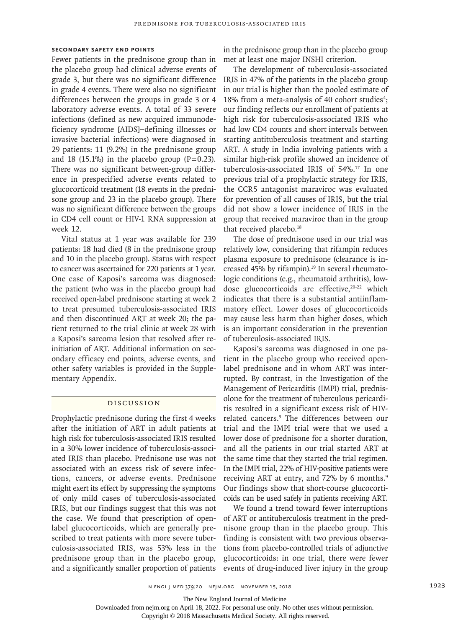## **Secondary Safety End Points**

Fewer patients in the prednisone group than in the placebo group had clinical adverse events of grade 3, but there was no significant difference in grade 4 events. There were also no significant differences between the groups in grade 3 or 4 laboratory adverse events. A total of 33 severe infections (defined as new acquired immunodeficiency syndrome [AIDS]–defining illnesses or invasive bacterial infections) were diagnosed in 29 patients: 11 (9.2%) in the prednisone group and 18 (15.1%) in the placebo group  $(P=0.23)$ . There was no significant between-group difference in prespecified adverse events related to glucocorticoid treatment (18 events in the prednisone group and 23 in the placebo group). There was no significant difference between the groups in CD4 cell count or HIV-1 RNA suppression at week 12.

Vital status at 1 year was available for 239 patients: 18 had died (8 in the prednisone group and 10 in the placebo group). Status with respect to cancer was ascertained for 220 patients at 1 year. One case of Kaposi's sarcoma was diagnosed: the patient (who was in the placebo group) had received open-label prednisone starting at week 2 to treat presumed tuberculosis-associated IRIS and then discontinued ART at week 20; the patient returned to the trial clinic at week 28 with a Kaposi's sarcoma lesion that resolved after reinitiation of ART. Additional information on secondary efficacy end points, adverse events, and other safety variables is provided in the Supplementary Appendix.

## Discussion

Prophylactic prednisone during the first 4 weeks after the initiation of ART in adult patients at high risk for tuberculosis-associated IRIS resulted in a 30% lower incidence of tuberculosis-associated IRIS than placebo. Prednisone use was not associated with an excess risk of severe infections, cancers, or adverse events. Prednisone might exert its effect by suppressing the symptoms of only mild cases of tuberculosis-associated IRIS, but our findings suggest that this was not the case. We found that prescription of openlabel glucocorticoids, which are generally prescribed to treat patients with more severe tuberculosis-associated IRIS, was 53% less in the prednisone group than in the placebo group, and a significantly smaller proportion of patients

in the prednisone group than in the placebo group met at least one major INSHI criterion.

The development of tuberculosis-associated IRIS in 47% of the patients in the placebo group in our trial is higher than the pooled estimate of 18% from a meta-analysis of 40 cohort studies<sup>4</sup>; our finding reflects our enrollment of patients at high risk for tuberculosis-associated IRIS who had low CD4 counts and short intervals between starting antituberculosis treatment and starting ART. A study in India involving patients with a similar high-risk profile showed an incidence of tuberculosis-associated IRIS of 54%.17 In one previous trial of a prophylactic strategy for IRIS, the CCR5 antagonist maraviroc was evaluated for prevention of all causes of IRIS, but the trial did not show a lower incidence of IRIS in the group that received maraviroc than in the group that received placebo.<sup>18</sup>

The dose of prednisone used in our trial was relatively low, considering that rifampin reduces plasma exposure to prednisone (clearance is increased 45% by rifampin).<sup>19</sup> In several rheumatologic conditions (e.g., rheumatoid arthritis), lowdose glucocorticoids are effective,<sup>20-22</sup> which indicates that there is a substantial antiinflammatory effect. Lower doses of glucocorticoids may cause less harm than higher doses, which is an important consideration in the prevention of tuberculosis-associated IRIS.

Kaposi's sarcoma was diagnosed in one patient in the placebo group who received openlabel prednisone and in whom ART was interrupted. By contrast, in the Investigation of the Management of Pericarditis (IMPI) trial, prednisolone for the treatment of tuberculous pericarditis resulted in a significant excess risk of HIVrelated cancers.9 The differences between our trial and the IMPI trial were that we used a lower dose of prednisone for a shorter duration, and all the patients in our trial started ART at the same time that they started the trial regimen. In the IMPI trial, 22% of HIV-positive patients were receiving ART at entry, and 72% by 6 months.<sup>9</sup> Our findings show that short-course glucocorticoids can be used safely in patients receiving ART.

We found a trend toward fewer interruptions of ART or antituberculosis treatment in the prednisone group than in the placebo group. This finding is consistent with two previous observations from placebo-controlled trials of adjunctive glucocorticoids: in one trial, there were fewer events of drug-induced liver injury in the group

The New England Journal of Medicine

Downloaded from nejm.org on April 18, 2022. For personal use only. No other uses without permission.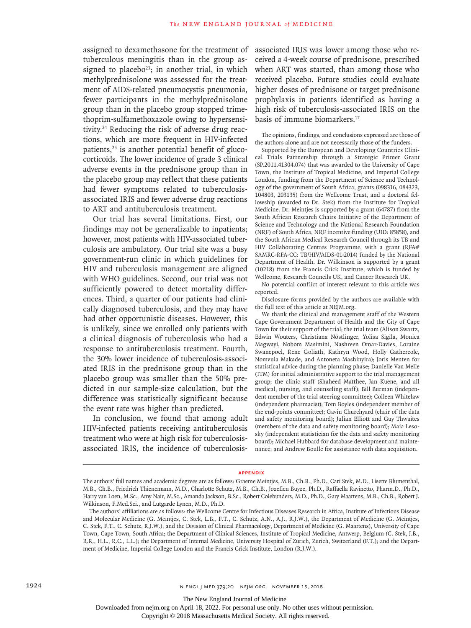assigned to dexamethasone for the treatment of tuberculous meningitis than in the group assigned to placebo<sup>23</sup>; in another trial, in which methylprednisolone was assessed for the treatment of AIDS-related pneumocystis pneumonia, fewer participants in the methylprednisolone group than in the placebo group stopped trimethoprim-sulfamethoxazole owing to hypersensitivity.24 Reducing the risk of adverse drug reactions, which are more frequent in HIV-infected patients, $25$  is another potential benefit of glucocorticoids. The lower incidence of grade 3 clinical adverse events in the prednisone group than in the placebo group may reflect that these patients had fewer symptoms related to tuberculosisassociated IRIS and fewer adverse drug reactions to ART and antituberculosis treatment.

Our trial has several limitations. First, our findings may not be generalizable to inpatients; however, most patients with HIV-associated tuberculosis are ambulatory. Our trial site was a busy government-run clinic in which guidelines for HIV and tuberculosis management are aligned with WHO guidelines. Second, our trial was not sufficiently powered to detect mortality differences. Third, a quarter of our patients had clinically diagnosed tuberculosis, and they may have had other opportunistic diseases. However, this is unlikely, since we enrolled only patients with a clinical diagnosis of tuberculosis who had a response to antituberculosis treatment. Fourth, the 30% lower incidence of tuberculosis-associated IRIS in the prednisone group than in the placebo group was smaller than the 50% predicted in our sample-size calculation, but the difference was statistically significant because the event rate was higher than predicted.

In conclusion, we found that among adult HIV-infected patients receiving antituberculosis treatment who were at high risk for tuberculosisassociated IRIS, the incidence of tuberculosisassociated IRIS was lower among those who received a 4-week course of prednisone, prescribed when ART was started, than among those who received placebo. Future studies could evaluate higher doses of prednisone or target prednisone prophylaxis in patients identified as having a high risk of tuberculosis-associated IRIS on the basis of immune biomarkers.17

The opinions, findings, and conclusions expressed are those of the authors alone and are not necessarily those of the funders.

Supported by the European and Developing Countries Clinical Trials Partnership through a Strategic Primer Grant (SP.2011.41304.074) that was awarded to the University of Cape Town, the Institute of Tropical Medicine, and Imperial College London, funding from the Department of Science and Technology of the government of South Africa, grants (098316, 084323, 104803, 203135) from the Wellcome Trust, and a doctoral fellowship (awarded to Dr. Stek) from the Institute for Tropical Medicine. Dr. Meintjes is supported by a grant (64787) from the South African Research Chairs Initiative of the Department of Science and Technology and the National Research Foundation (NRF) of South Africa, NRF incentive funding (UID: 85858), and the South African Medical Research Council through its TB and HIV Collaborating Centres Programme, with a grant (RFA# SAMRC-RFA-CC: TB/HIV/AIDS-01-2014) funded by the National Department of Health. Dr. Wilkinson is supported by a grant (10218) from the Francis Crick Institute, which is funded by Wellcome, Research Councils UK, and Cancer Research UK.

No potential conflict of interest relevant to this article was reported.

Disclosure forms provided by the authors are available with the full text of this article at NEJM.org.

We thank the clinical and management staff of the Western Cape Government Department of Health and the City of Cape Town for their support of the trial; the trial team (Alison Swartz, Edwin Wouters, Christiana Nöstlinger, Yolisa Sigila, Monica Magwayi, Nobom Masimini, Nashreen Omar-Davies, Loraine Swanepoel, Rene Goliath, Kathryn Wood, Holly Gathercole, Nomvula Makade, and Antoneta Mashinyira); Joris Menten for statistical advice during the planning phase; Danielle Van Melle (ITM) for initial administrative support to the trial management group; the clinic staff (Shaheed Matthee, Jan Kuene, and all medical, nursing, and counseling staff); Bill Burman (independent member of the trial steering committee); Colleen Whitelaw (independent pharmacist); Tom Boyles (independent member of the end-points committee); Gavin Churchyard (chair of the data and safety monitoring board); Julian Elliott and Guy Thwaites (members of the data and safety monitoring board); Maia Lesosky (independent statistician for the data and safety monitoring board); Michael Hubbard for database development and maintenance; and Andrew Boulle for assistance with data acquisition.

#### **Appendix**

The New England Journal of Medicine

Downloaded from nejm.org on April 18, 2022. For personal use only. No other uses without permission.

The authors' full names and academic degrees are as follows: Graeme Meintjes, M.B., Ch.B., Ph.D., Cari Stek, M.D., Lisette Blumenthal, M.B., Ch.B., Friedrich Thienemann, M.D., Charlotte Schutz, M.B., Ch.B., Jozefien Buyze, Ph.D., Raffaella Ravinetto, Pharm.D., Ph.D., Harry van Loen, M.Sc., Amy Nair, M.Sc., Amanda Jackson, B.Sc., Robert Colebunders, M.D., Ph.D., Gary Maartens, M.B., Ch.B., Robert J. Wilkinson, F.Med.Sci., and Lutgarde Lynen, M.D., Ph.D.

The authors' affiliations are as follows: the Wellcome Centre for Infectious Diseases Research in Africa, Institute of Infectious Disease and Molecular Medicine (G. Meintjes, C. Stek, L.B., F.T., C. Schutz, A.N., A.J., R.J.W.), the Department of Medicine (G. Meintjes, C. Stek, F.T., C. Schutz, R.J.W.), and the Division of Clinical Pharmacology, Department of Medicine (G. Maartens), University of Cape Town, Cape Town, South Africa; the Department of Clinical Sciences, Institute of Tropical Medicine, Antwerp, Belgium (C. Stek, J.B., R.R., H.L., R.C., L.L.); the Department of Internal Medicine, University Hospital of Zurich, Zurich, Switzerland (F.T.); and the Department of Medicine, Imperial College London and the Francis Crick Institute, London (R.J.W.).